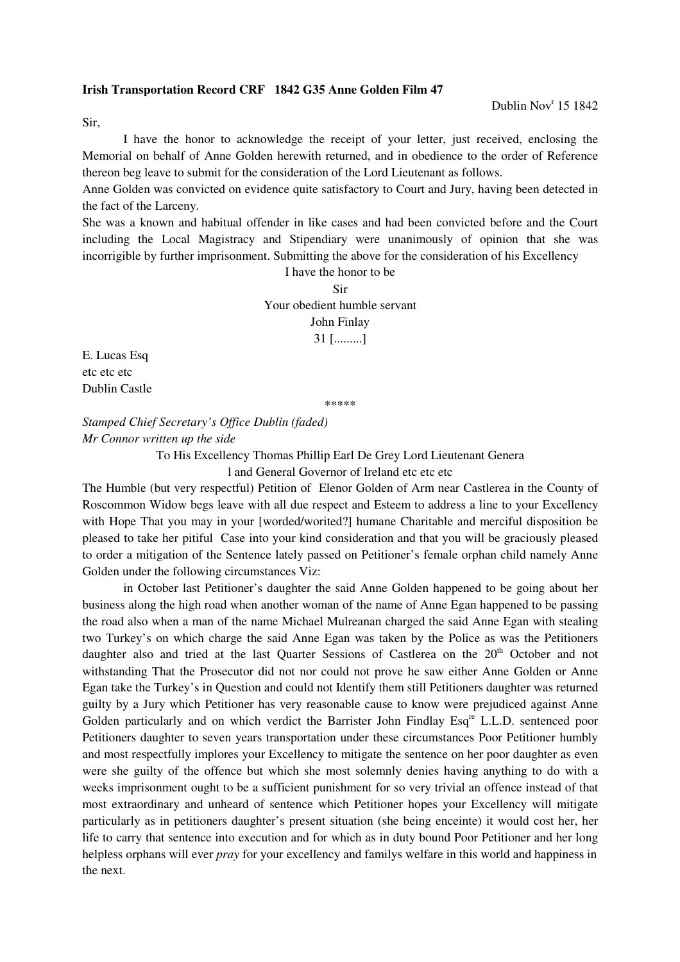## **Irish Transportation Record CRF 1842 G35 Anne Golden Film 47**

Sir,

 I have the honor to acknowledge the receipt of your letter, just received, enclosing the Memorial on behalf of Anne Golden herewith returned, and in obedience to the order of Reference thereon beg leave to submit for the consideration of the Lord Lieutenant as follows.

Anne Golden was convicted on evidence quite satisfactory to Court and Jury, having been detected in the fact of the Larceny.

She was a known and habitual offender in like cases and had been convicted before and the Court including the Local Magistracy and Stipendiary were unanimously of opinion that she was incorrigible by further imprisonment. Submitting the above for the consideration of his Excellency

> I have the honor to be Sir

Your obedient humble servant John Finlay 31 [.........]

E. Lucas Esq etc etc etc Dublin Castle

\*\*\*\*\*

*Stamped Chief Secretary's Office Dublin (faded) Mr Connor written up the side* 

To His Excellency Thomas Phillip Earl De Grey Lord Lieutenant Genera

l and General Governor of Ireland etc etc etc

The Humble (but very respectful) Petition of Elenor Golden of Arm near Castlerea in the County of Roscommon Widow begs leave with all due respect and Esteem to address a line to your Excellency with Hope That you may in your [worded/worited?] humane Charitable and merciful disposition be pleased to take her pitiful Case into your kind consideration and that you will be graciously pleased to order a mitigation of the Sentence lately passed on Petitioner's female orphan child namely Anne Golden under the following circumstances Viz:

 in October last Petitioner's daughter the said Anne Golden happened to be going about her business along the high road when another woman of the name of Anne Egan happened to be passing the road also when a man of the name Michael Mulreanan charged the said Anne Egan with stealing two Turkey's on which charge the said Anne Egan was taken by the Police as was the Petitioners daughter also and tried at the last Quarter Sessions of Castlerea on the 20<sup>th</sup> October and not withstanding That the Prosecutor did not nor could not prove he saw either Anne Golden or Anne Egan take the Turkey's in Question and could not Identify them still Petitioners daughter was returned guilty by a Jury which Petitioner has very reasonable cause to know were prejudiced against Anne Golden particularly and on which verdict the Barrister John Findlay Esq<sup>re</sup> L.L.D. sentenced poor Petitioners daughter to seven years transportation under these circumstances Poor Petitioner humbly and most respectfully implores your Excellency to mitigate the sentence on her poor daughter as even were she guilty of the offence but which she most solemnly denies having anything to do with a weeks imprisonment ought to be a sufficient punishment for so very trivial an offence instead of that most extraordinary and unheard of sentence which Petitioner hopes your Excellency will mitigate particularly as in petitioners daughter's present situation (she being enceinte) it would cost her, her life to carry that sentence into execution and for which as in duty bound Poor Petitioner and her long helpless orphans will ever *pray* for your excellency and familys welfare in this world and happiness in the next.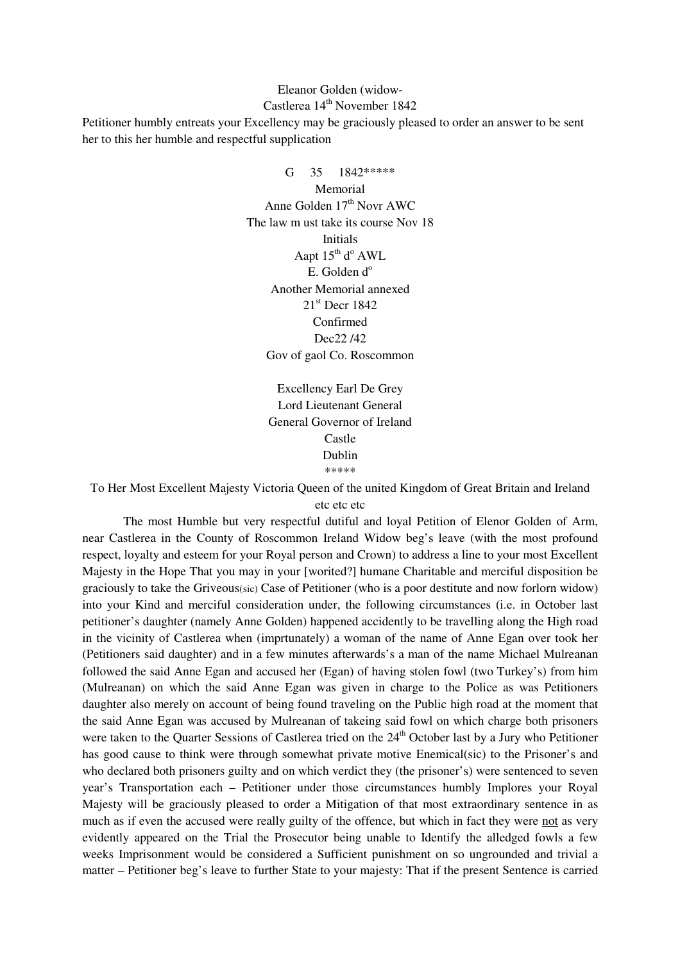## Eleanor Golden (widow-

Castlerea  $14<sup>th</sup>$  November 1842

Petitioner humbly entreats your Excellency may be graciously pleased to order an answer to be sent her to this her humble and respectful supplication

> G 35 1842\*\*\*\*\* Memorial Anne Golden  $17<sup>th</sup>$  Novr AWC The law m ust take its course Nov 18 Initials Aapt  $15^{\text{th}}$  d<sup>o</sup> AWL E. Golden  $d^{\circ}$ Another Memorial annexed 21st Decr 1842 Confirmed Dec22 /42 Gov of gaol Co. Roscommon

> > Excellency Earl De Grey Lord Lieutenant General General Governor of Ireland Castle Dublin \*\*\*\*\*

To Her Most Excellent Majesty Victoria Queen of the united Kingdom of Great Britain and Ireland etc etc etc

 The most Humble but very respectful dutiful and loyal Petition of Elenor Golden of Arm, near Castlerea in the County of Roscommon Ireland Widow beg's leave (with the most profound respect, loyalty and esteem for your Royal person and Crown) to address a line to your most Excellent Majesty in the Hope That you may in your [worited?] humane Charitable and merciful disposition be graciously to take the Griveous(sic) Case of Petitioner (who is a poor destitute and now forlorn widow) into your Kind and merciful consideration under, the following circumstances (i.e. in October last petitioner's daughter (namely Anne Golden) happened accidently to be travelling along the High road in the vicinity of Castlerea when (imprtunately) a woman of the name of Anne Egan over took her (Petitioners said daughter) and in a few minutes afterwards's a man of the name Michael Mulreanan followed the said Anne Egan and accused her (Egan) of having stolen fowl (two Turkey's) from him (Mulreanan) on which the said Anne Egan was given in charge to the Police as was Petitioners daughter also merely on account of being found traveling on the Public high road at the moment that the said Anne Egan was accused by Mulreanan of takeing said fowl on which charge both prisoners were taken to the Quarter Sessions of Castlerea tried on the 24<sup>th</sup> October last by a Jury who Petitioner has good cause to think were through somewhat private motive Enemical(sic) to the Prisoner's and who declared both prisoners guilty and on which verdict they (the prisoner's) were sentenced to seven year's Transportation each – Petitioner under those circumstances humbly Implores your Royal Majesty will be graciously pleased to order a Mitigation of that most extraordinary sentence in as much as if even the accused were really guilty of the offence, but which in fact they were not as very evidently appeared on the Trial the Prosecutor being unable to Identify the alledged fowls a few weeks Imprisonment would be considered a Sufficient punishment on so ungrounded and trivial a matter – Petitioner beg's leave to further State to your majesty: That if the present Sentence is carried